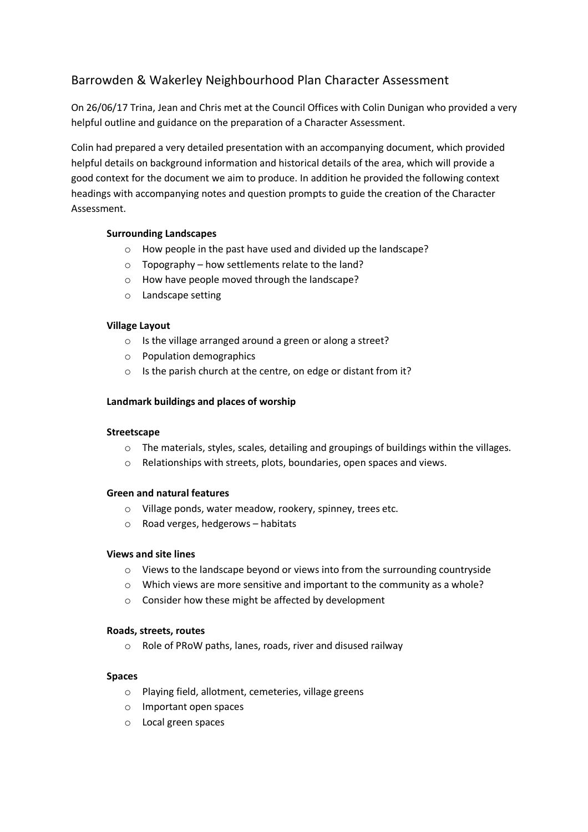# Barrowden & Wakerley Neighbourhood Plan Character Assessment

On 26/06/17 Trina, Jean and Chris met at the Council Offices with Colin Dunigan who provided a very helpful outline and guidance on the preparation of a Character Assessment.

Colin had prepared a very detailed presentation with an accompanying document, which provided helpful details on background information and historical details of the area, which will provide a good context for the document we aim to produce. In addition he provided the following context headings with accompanying notes and question prompts to guide the creation of the Character Assessment.

## **Surrounding Landscapes**

- o How people in the past have used and divided up the landscape?
- o Topography how settlements relate to the land?
- o How have people moved through the landscape?
- o Landscape setting

## **Village Layout**

- o Is the village arranged around a green or along a street?
- o Population demographics
- o Is the parish church at the centre, on edge or distant from it?

## **Landmark buildings and places of worship**

#### **Streetscape**

- o The materials, styles, scales, detailing and groupings of buildings within the villages.
- o Relationships with streets, plots, boundaries, open spaces and views.

## **Green and natural features**

- o Village ponds, water meadow, rookery, spinney, trees etc.
- o Road verges, hedgerows habitats

## **Views and site lines**

- o Views to the landscape beyond or views into from the surrounding countryside
- o Which views are more sensitive and important to the community as a whole?
- o Consider how these might be affected by development

#### **Roads, streets, routes**

o Role of PRoW paths, lanes, roads, river and disused railway

## **Spaces**

- o Playing field, allotment, cemeteries, village greens
- o Important open spaces
- o Local green spaces